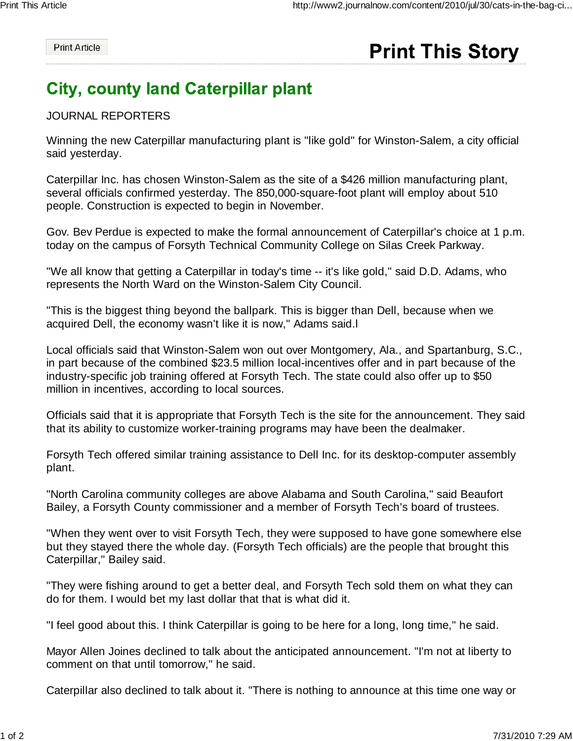**Print Article** 

## **Print This Story**

## **City, county land Caterpillar plant**

## JOURNAL REPORTERS

Winning the new Caterpillar manufacturing plant is "like gold" for Winston-Salem, a city official said yesterday.

Caterpillar Inc. has chosen Winston-Salem as the site of a \$426 million manufacturing plant, several officials confirmed yesterday. The 850,000-square-foot plant will employ about 510 people. Construction is expected to begin in November.

Gov. Bev Perdue is expected to make the formal announcement of Caterpillar's choice at 1 p.m. today on the campus of Forsyth Technical Community College on Silas Creek Parkway.

"We all know that getting a Caterpillar in today's time -- it's like gold," said D.D. Adams, who represents the North Ward on the Winston-Salem City Council.

"This is the biggest thing beyond the ballpark. This is bigger than Dell, because when we acquired Dell, the economy wasn't like it is now," Adams said.l

Local officials said that Winston-Salem won out over Montgomery, Ala., and Spartanburg, S.C., in part because of the combined \$23.5 million local-incentives offer and in part because of the industry-specific job training offered at Forsyth Tech. The state could also offer up to \$50 million in incentives, according to local sources.

Officials said that it is appropriate that Forsyth Tech is the site for the announcement. They said that its ability to customize worker-training programs may have been the dealmaker.

Forsyth Tech offered similar training assistance to Dell Inc. for its desktop-computer assembly plant.

"North Carolina community colleges are above Alabama and South Carolina," said Beaufort Bailey, a Forsyth County commissioner and a member of Forsyth Tech's board of trustees.

"When they went over to visit Forsyth Tech, they were supposed to have gone somewhere else but they stayed there the whole day. (Forsyth Tech officials) are the people that brought this Caterpillar," Bailey said.

"They were fishing around to get a better deal, and Forsyth Tech sold them on what they can do for them. I would bet my last dollar that that is what did it.

"I feel good about this. I think Caterpillar is going to be here for a long, long time," he said.

Mayor Allen Joines declined to talk about the anticipated announcement. "I'm not at liberty to comment on that until tomorrow," he said.

Caterpillar also declined to talk about it. "There is nothing to announce at this time one way or